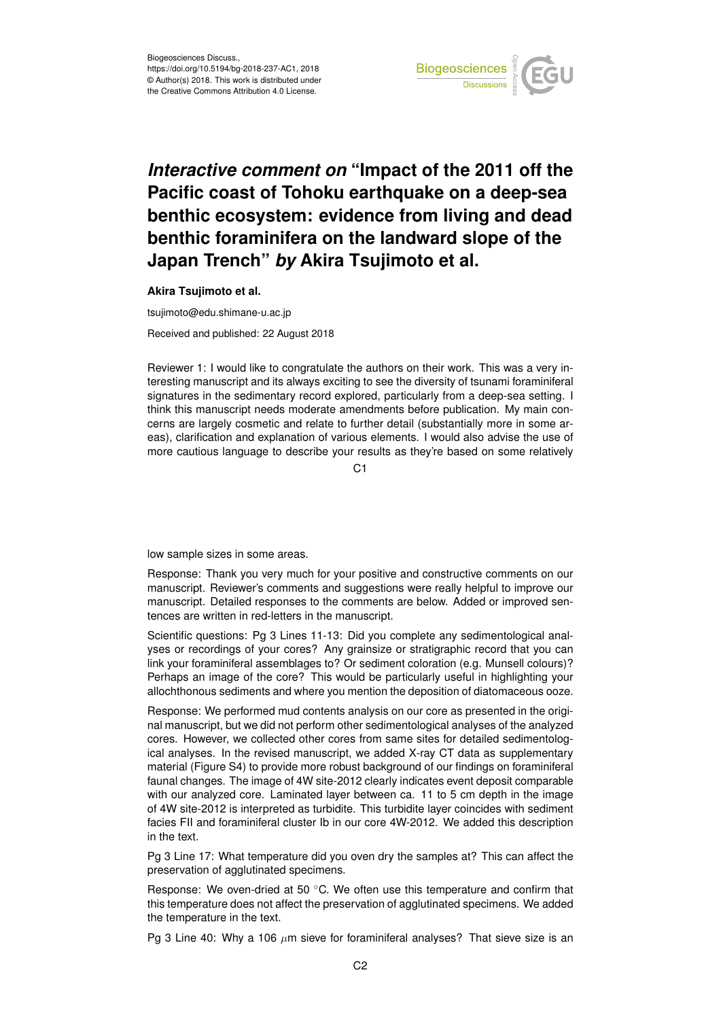

## *Interactive comment on* **"Impact of the 2011 off the Pacific coast of Tohoku earthquake on a deep-sea benthic ecosystem: evidence from living and dead benthic foraminifera on the landward slope of the Japan Trench"** *by* **Akira Tsujimoto et al.**

**Akira Tsujimoto et al.**

tsujimoto@edu.shimane-u.ac.jp Received and published: 22 August 2018

Reviewer 1: I would like to congratulate the authors on their work. This was a very interesting manuscript and its always exciting to see the diversity of tsunami foraminiferal signatures in the sedimentary record explored, particularly from a deep-sea setting. I think this manuscript needs moderate amendments before publication. My main concerns are largely cosmetic and relate to further detail (substantially more in some areas), clarification and explanation of various elements. I would also advise the use of more cautious language to describe your results as they're based on some relatively

 $C<sub>1</sub>$ 

low sample sizes in some areas.

Response: Thank you very much for your positive and constructive comments on our manuscript. Reviewer's comments and suggestions were really helpful to improve our manuscript. Detailed responses to the comments are below. Added or improved sentences are written in red-letters in the manuscript.

Scientific questions: Pg 3 Lines 11-13: Did you complete any sedimentological analyses or recordings of your cores? Any grainsize or stratigraphic record that you can link your foraminiferal assemblages to? Or sediment coloration (e.g. Munsell colours)? Perhaps an image of the core? This would be particularly useful in highlighting your allochthonous sediments and where you mention the deposition of diatomaceous ooze.

Response: We performed mud contents analysis on our core as presented in the original manuscript, but we did not perform other sedimentological analyses of the analyzed cores. However, we collected other cores from same sites for detailed sedimentological analyses. In the revised manuscript, we added X-ray CT data as supplementary material (Figure S4) to provide more robust background of our findings on foraminiferal faunal changes. The image of 4W site-2012 clearly indicates event deposit comparable with our analyzed core. Laminated layer between ca. 11 to 5 cm depth in the image of 4W site-2012 is interpreted as turbidite. This turbidite layer coincides with sediment facies FII and foraminiferal cluster Ib in our core 4W-2012. We added this description in the text.

Pg 3 Line 17: What temperature did you oven dry the samples at? This can affect the preservation of agglutinated specimens.

Response: We oven-dried at 50 ◦C. We often use this temperature and confirm that this temperature does not affect the preservation of agglutinated specimens. We added the temperature in the text.

Pg 3 Line 40: Why a 106  $\mu$ m sieve for foraminiferal analyses? That sieve size is an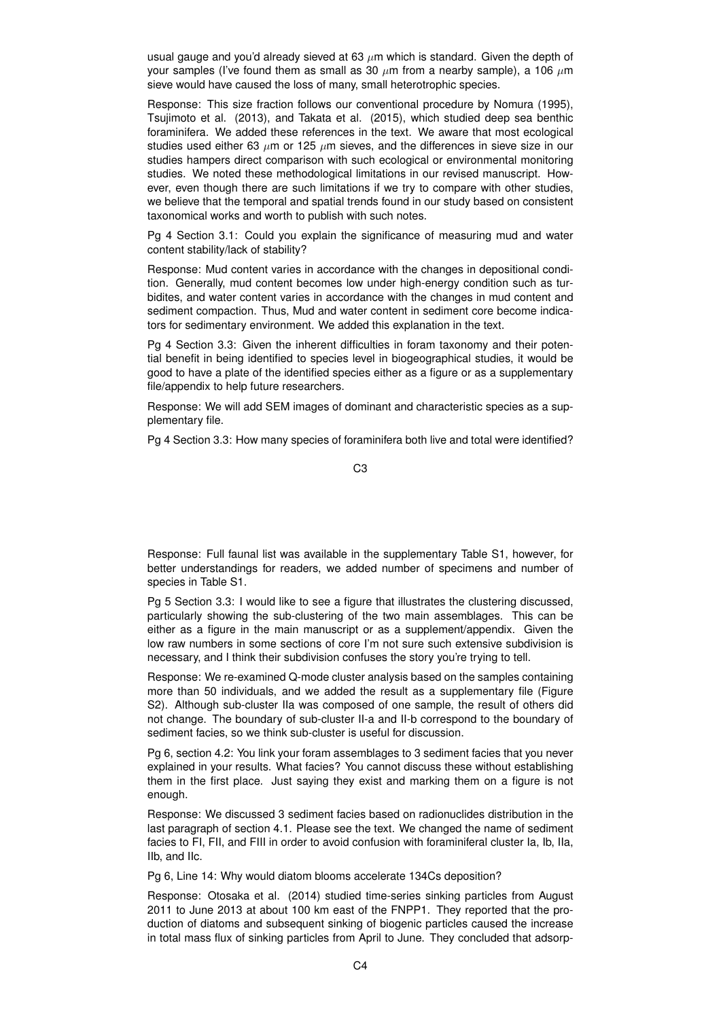usual gauge and you'd already sieved at 63  $\mu$ m which is standard. Given the depth of your samples (I've found them as small as 30  $\mu$ m from a nearby sample), a 106  $\mu$ m sieve would have caused the loss of many, small heterotrophic species.

Response: This size fraction follows our conventional procedure by Nomura (1995), Tsujimoto et al. (2013), and Takata et al. (2015), which studied deep sea benthic foraminifera. We added these references in the text. We aware that most ecological studies used either 63  $\mu$ m or 125  $\mu$ m sieves, and the differences in sieve size in our studies hampers direct comparison with such ecological or environmental monitoring studies. We noted these methodological limitations in our revised manuscript. However, even though there are such limitations if we try to compare with other studies, we believe that the temporal and spatial trends found in our study based on consistent taxonomical works and worth to publish with such notes.

Pg 4 Section 3.1: Could you explain the significance of measuring mud and water content stability/lack of stability?

Response: Mud content varies in accordance with the changes in depositional condition. Generally, mud content becomes low under high-energy condition such as turbidites, and water content varies in accordance with the changes in mud content and sediment compaction. Thus, Mud and water content in sediment core become indicators for sedimentary environment. We added this explanation in the text.

Pg 4 Section 3.3: Given the inherent difficulties in foram taxonomy and their potential benefit in being identified to species level in biogeographical studies, it would be good to have a plate of the identified species either as a figure or as a supplementary file/appendix to help future researchers.

Response: We will add SEM images of dominant and characteristic species as a supplementary file.

Pg 4 Section 3.3: How many species of foraminifera both live and total were identified?

C3

Response: Full faunal list was available in the supplementary Table S1, however, for better understandings for readers, we added number of specimens and number of species in Table S1.

Pg 5 Section 3.3: I would like to see a figure that illustrates the clustering discussed, particularly showing the sub-clustering of the two main assemblages. This can be either as a figure in the main manuscript or as a supplement/appendix. Given the low raw numbers in some sections of core I'm not sure such extensive subdivision is necessary, and I think their subdivision confuses the story you're trying to tell.

Response: We re-examined Q-mode cluster analysis based on the samples containing more than 50 individuals, and we added the result as a supplementary file (Figure S2). Although sub-cluster IIa was composed of one sample, the result of others did not change. The boundary of sub-cluster II-a and II-b correspond to the boundary of sediment facies, so we think sub-cluster is useful for discussion.

Pg 6, section 4.2: You link your foram assemblages to 3 sediment facies that you never explained in your results. What facies? You cannot discuss these without establishing them in the first place. Just saying they exist and marking them on a figure is not enough.

Response: We discussed 3 sediment facies based on radionuclides distribution in the last paragraph of section 4.1. Please see the text. We changed the name of sediment facies to FI, FII, and FIII in order to avoid confusion with foraminiferal cluster Ia, Ib, IIa, IIb, and IIc.

Pg 6, Line 14: Why would diatom blooms accelerate 134Cs deposition?

Response: Otosaka et al. (2014) studied time-series sinking particles from August 2011 to June 2013 at about 100 km east of the FNPP1. They reported that the production of diatoms and subsequent sinking of biogenic particles caused the increase in total mass flux of sinking particles from April to June. They concluded that adsorp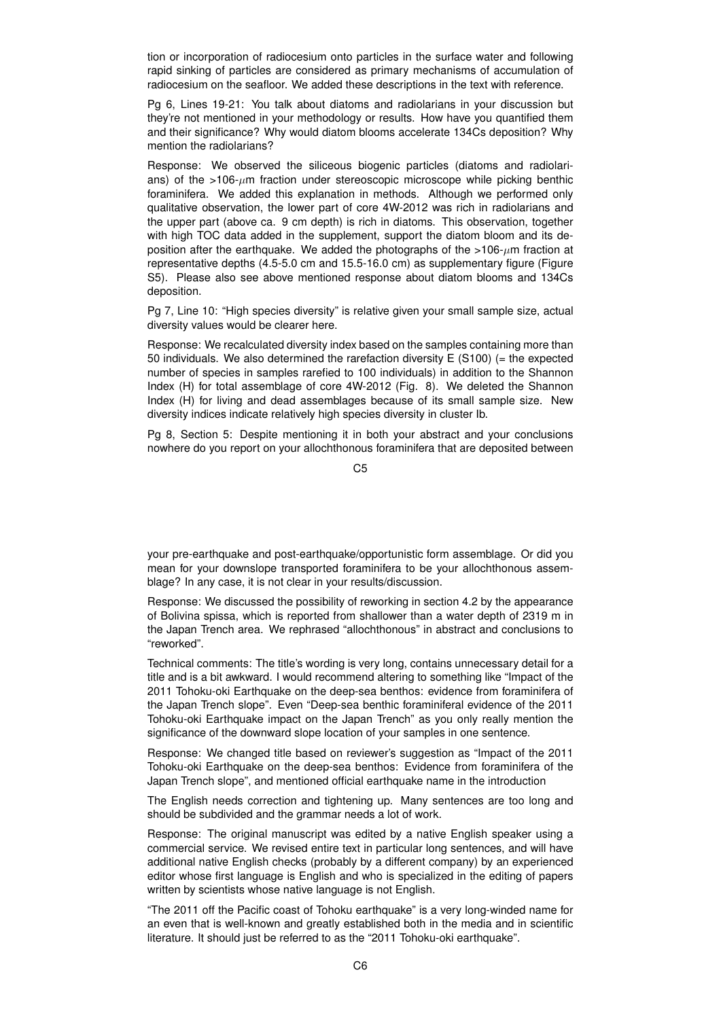tion or incorporation of radiocesium onto particles in the surface water and following rapid sinking of particles are considered as primary mechanisms of accumulation of radiocesium on the seafloor. We added these descriptions in the text with reference.

Pg 6, Lines 19-21: You talk about diatoms and radiolarians in your discussion but they're not mentioned in your methodology or results. How have you quantified them and their significance? Why would diatom blooms accelerate 134Cs deposition? Why mention the radiolarians?

Response: We observed the siliceous biogenic particles (diatoms and radiolarians) of the  $>106-\mu m$  fraction under stereoscopic microscope while picking benthic foraminifera. We added this explanation in methods. Although we performed only qualitative observation, the lower part of core 4W-2012 was rich in radiolarians and the upper part (above ca. 9 cm depth) is rich in diatoms. This observation, together with high TOC data added in the supplement, support the diatom bloom and its deposition after the earthquake. We added the photographs of the  $>106-\mu m$  fraction at representative depths (4.5-5.0 cm and 15.5-16.0 cm) as supplementary figure (Figure S5). Please also see above mentioned response about diatom blooms and 134Cs deposition.

Pg 7, Line 10: "High species diversity" is relative given your small sample size, actual diversity values would be clearer here.

Response: We recalculated diversity index based on the samples containing more than 50 individuals. We also determined the rarefaction diversity E (S100) (= the expected number of species in samples rarefied to 100 individuals) in addition to the Shannon Index (H) for total assemblage of core 4W-2012 (Fig. 8). We deleted the Shannon Index (H) for living and dead assemblages because of its small sample size. New diversity indices indicate relatively high species diversity in cluster Ib.

Pg 8, Section 5: Despite mentioning it in both your abstract and your conclusions nowhere do you report on your allochthonous foraminifera that are deposited between

 $C<sub>5</sub>$ 

your pre-earthquake and post-earthquake/opportunistic form assemblage. Or did you mean for your downslope transported foraminifera to be your allochthonous assemblage? In any case, it is not clear in your results/discussion.

Response: We discussed the possibility of reworking in section 4.2 by the appearance of Bolivina spissa, which is reported from shallower than a water depth of 2319 m in the Japan Trench area. We rephrased "allochthonous" in abstract and conclusions to "reworked".

Technical comments: The title's wording is very long, contains unnecessary detail for a title and is a bit awkward. I would recommend altering to something like "Impact of the 2011 Tohoku-oki Earthquake on the deep-sea benthos: evidence from foraminifera of the Japan Trench slope". Even "Deep-sea benthic foraminiferal evidence of the 2011 Tohoku-oki Earthquake impact on the Japan Trench" as you only really mention the significance of the downward slope location of your samples in one sentence.

Response: We changed title based on reviewer's suggestion as "Impact of the 2011 Tohoku-oki Earthquake on the deep-sea benthos: Evidence from foraminifera of the Japan Trench slope", and mentioned official earthquake name in the introduction

The English needs correction and tightening up. Many sentences are too long and should be subdivided and the grammar needs a lot of work.

Response: The original manuscript was edited by a native English speaker using a commercial service. We revised entire text in particular long sentences, and will have additional native English checks (probably by a different company) by an experienced editor whose first language is English and who is specialized in the editing of papers written by scientists whose native language is not English.

"The 2011 off the Pacific coast of Tohoku earthquake" is a very long-winded name for an even that is well-known and greatly established both in the media and in scientific literature. It should just be referred to as the "2011 Tohoku-oki earthquake".